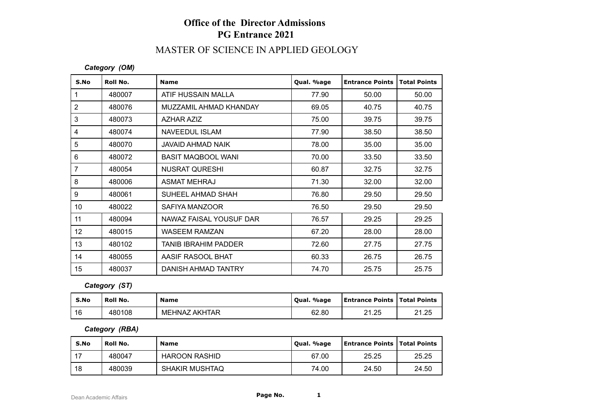# **Office of the Director Admissions PG Entrance 2021**

# MASTER OF SCIENCE IN APPLIED GEOLOGY

#### *Category (OM)*

| S.No         | Roll No. | <b>Name</b>             | Qual. %age | <b>Entrance Points</b> | <b>Total Points</b> |
|--------------|----------|-------------------------|------------|------------------------|---------------------|
| $\mathbf{1}$ | 480007   | ATIF HUSSAIN MALLA      | 77.90      | 50.00                  | 50.00               |
| 2            | 480076   | MUZZAMIL AHMAD KHANDAY  | 69.05      | 40.75                  | 40.75               |
| 3            | 480073   | AZHAR AZIZ              | 75.00      | 39.75                  | 39.75               |
| 4            | 480074   | NAVEEDUL ISLAM          | 77.90      | 38.50                  | 38.50               |
| 5            | 480070   | JAVAID AHMAD NAIK       | 78.00      | 35.00                  | 35.00               |
| 6            | 480072   | BASIT MAQBOOL WANI      | 70.00      | 33.50                  | 33.50               |
| 7            | 480054   | <b>NUSRAT QURESHI</b>   | 60.87      | 32.75                  | 32.75               |
| 8            | 480006   | <b>ASMAT MEHRAJ</b>     | 71.30      | 32.00                  | 32.00               |
| 9            | 480061   | SUHEEL AHMAD SHAH       | 76.80      | 29.50                  | 29.50               |
| 10           | 480022   | SAFIYA MANZOOR          | 76.50      | 29.50                  | 29.50               |
| 11           | 480094   | NAWAZ FAISAL YOUSUF DAR | 76.57      | 29.25                  | 29.25               |
| 12           | 480015   | <b>WASEEM RAMZAN</b>    | 67.20      | 28.00                  | 28.00               |
| 13           | 480102   | TANIB IBRAHIM PADDER    | 72.60      | 27.75                  | 27.75               |
| 14           | 480055   | AASIF RASOOL BHAT       | 60.33      | 26.75                  | 26.75               |
| 15           | 480037   | DANISH AHMAD TANTRY     | 74.70      | 25.75                  | 25.75               |

### *Category (ST)*

| S.No | ' Roll No. | <b>Name</b>          | Oual. %age | <b>Entrance Points   Total Points</b> |       |
|------|------------|----------------------|------------|---------------------------------------|-------|
| 16   | 480108     | <b>MEHNAZ AKHTAR</b> | 62.80      | 21.25                                 | 21.25 |

### *Category (RBA)*

| S.No | <b>Roll No.</b> | <b>Name</b>           | Qual. %age | Entrance Points   Total Points |       |
|------|-----------------|-----------------------|------------|--------------------------------|-------|
|      | 480047          | <b>HAROON RASHID</b>  | 67.00      | 25.25                          | 25.25 |
| 18   | 480039          | <b>SHAKIR MUSHTAQ</b> | 74.00      | 24.50                          | 24.50 |